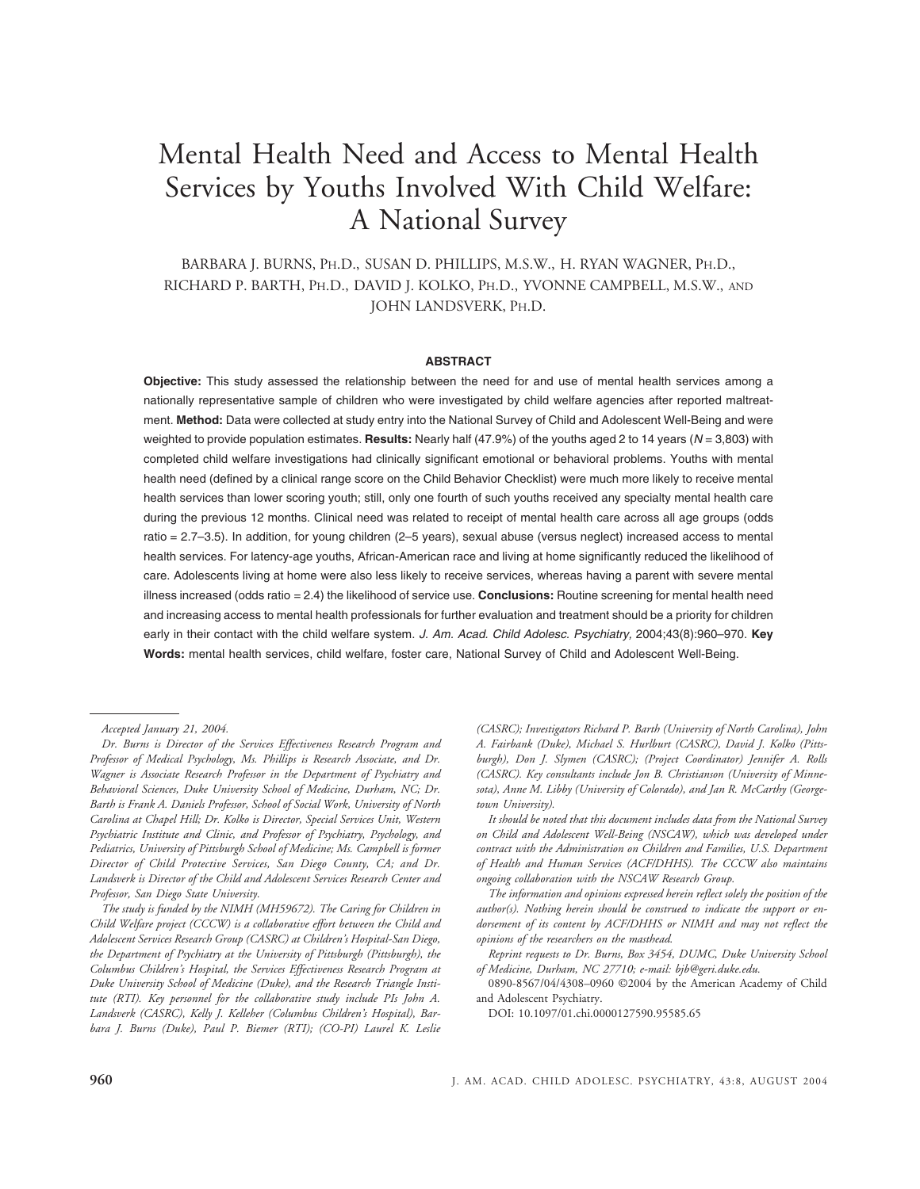# Mental Health Need and Access to Mental Health Services by Youths Involved With Child Welfare: A National Survey

BARBARA J. BURNS, PH.D., SUSAN D. PHILLIPS, M.S.W., H. RYAN WAGNER, PH.D., RICHARD P. BARTH, PH.D., DAVID J. KOLKO, PH.D., YVONNE CAMPBELL, M.S.W., AND JOHN LANDSVERK, PH.D.

#### **ABSTRACT**

**Objective:** This study assessed the relationship between the need for and use of mental health services among a nationally representative sample of children who were investigated by child welfare agencies after reported maltreatment. **Method:** Data were collected at study entry into the National Survey of Child and Adolescent Well-Being and were weighted to provide population estimates. **Results:** Nearly half (47.9%) of the youths aged 2 to 14 years (*N* = 3,803) with completed child welfare investigations had clinically significant emotional or behavioral problems. Youths with mental health need (defined by a clinical range score on the Child Behavior Checklist) were much more likely to receive mental health services than lower scoring youth; still, only one fourth of such youths received any specialty mental health care during the previous 12 months. Clinical need was related to receipt of mental health care across all age groups (odds ratio = 2.7–3.5). In addition, for young children (2–5 years), sexual abuse (versus neglect) increased access to mental health services. For latency-age youths, African-American race and living at home significantly reduced the likelihood of care. Adolescents living at home were also less likely to receive services, whereas having a parent with severe mental illness increased (odds ratio = 2.4) the likelihood of service use. **Conclusions:** Routine screening for mental health need and increasing access to mental health professionals for further evaluation and treatment should be a priority for children early in their contact with the child welfare system. *J. Am. Acad. Child Adolesc. Psychiatry,* 2004;43(8):960–970. **Key Words:** mental health services, child welfare, foster care, National Survey of Child and Adolescent Well-Being.

*(CASRC); Investigators Richard P. Barth (University of North Carolina), John A. Fairbank (Duke), Michael S. Hurlburt (CASRC), David J. Kolko (Pittsburgh), Don J. Slymen (CASRC); (Project Coordinator) Jennifer A. Rolls (CASRC). Key consultants include Jon B. Christianson (University of Minnesota), Anne M. Libby (University of Colorado), and Jan R. McCarthy (Georgetown University).*

*It should be noted that this document includes data from the National Survey on Child and Adolescent Well-Being (NSCAW), which was developed under contract with the Administration on Children and Families, U.S. Department of Health and Human Services (ACF/DHHS). The CCCW also maintains ongoing collaboration with the NSCAW Research Group.*

*The information and opinions expressed herein reflect solely the position of the author(s). Nothing herein should be construed to indicate the support or endorsement of its content by ACF/DHHS or NIMH and may not reflect the opinions of the researchers on the masthead.*

*Reprint requests to Dr. Burns, Box 3454, DUMC, Duke University School of Medicine, Durham, NC 27710; e-mail: bjb@geri.duke.edu.*

0890-8567/04/4308–0960 ©2004 by the American Academy of Child and Adolescent Psychiatry.

DOI: 10.1097/01.chi.0000127590.95585.65

*Accepted January 21, 2004.*

*Dr. Burns is Director of the Services Effectiveness Research Program and Professor of Medical Psychology, Ms. Phillips is Research Associate, and Dr. Wagner is Associate Research Professor in the Department of Psychiatry and Behavioral Sciences, Duke University School of Medicine, Durham, NC; Dr. Barth is Frank A. Daniels Professor, School of Social Work, University of North Carolina at Chapel Hill; Dr. Kolko is Director, Special Services Unit, Western Psychiatric Institute and Clinic, and Professor of Psychiatry, Psychology, and Pediatrics, University of Pittsburgh School of Medicine; Ms. Campbell is former Director of Child Protective Services, San Diego County, CA; and Dr. Landsverk is Director of the Child and Adolescent Services Research Center and Professor, San Diego State University.*

*The study is funded by the NIMH (MH59672). The Caring for Children in Child Welfare project (CCCW) is a collaborative effort between the Child and Adolescent Services Research Group (CASRC) at Children's Hospital-San Diego, the Department of Psychiatry at the University of Pittsburgh (Pittsburgh), the Columbus Children's Hospital, the Services Effectiveness Research Program at Duke University School of Medicine (Duke), and the Research Triangle Institute (RTI). Key personnel for the collaborative study include PIs John A. Landsverk (CASRC), Kelly J. Kelleher (Columbus Children's Hospital), Barbara J. Burns (Duke), Paul P. Biemer (RTI); (CO-PI) Laurel K. Leslie*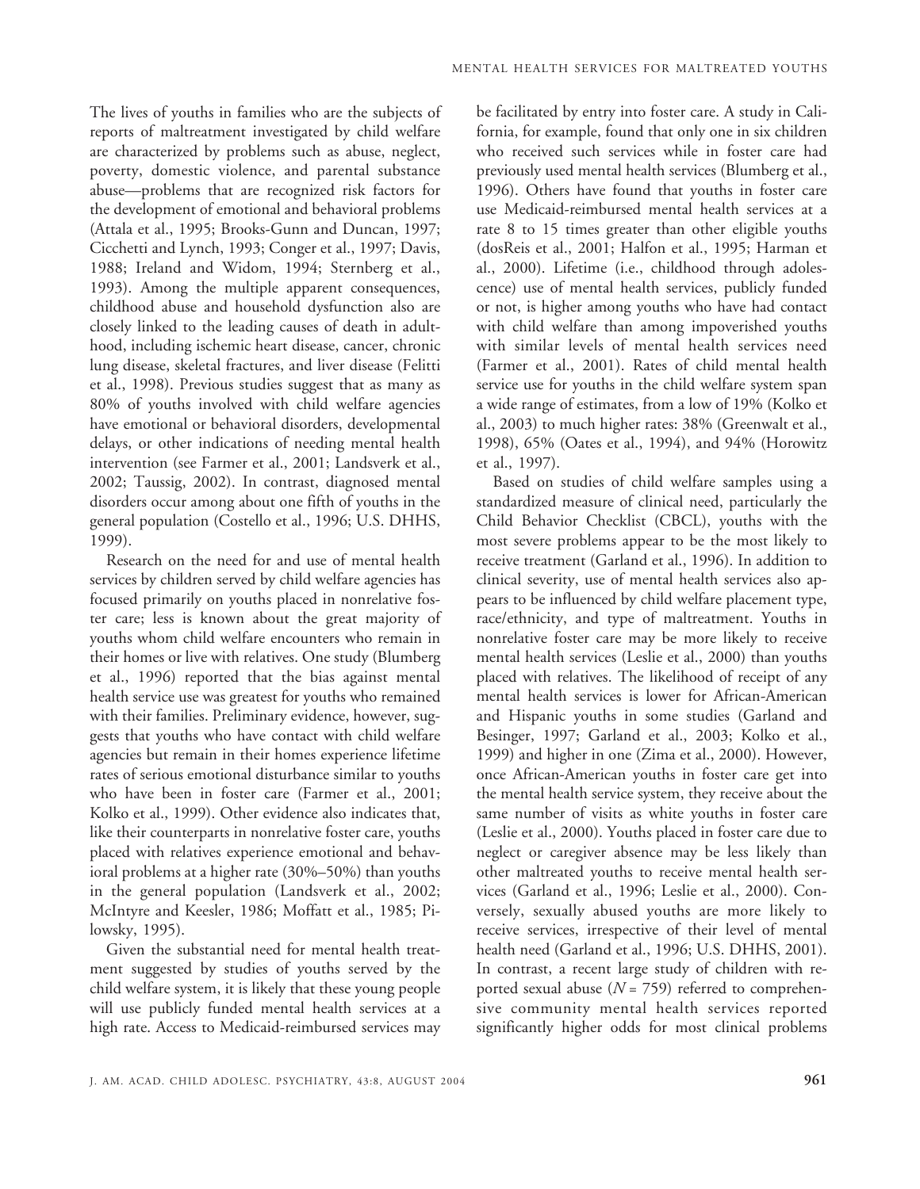The lives of youths in families who are the subjects of reports of maltreatment investigated by child welfare are characterized by problems such as abuse, neglect, poverty, domestic violence, and parental substance abuse—problems that are recognized risk factors for the development of emotional and behavioral problems (Attala et al., 1995; Brooks-Gunn and Duncan, 1997; Cicchetti and Lynch, 1993; Conger et al., 1997; Davis, 1988; Ireland and Widom, 1994; Sternberg et al., 1993). Among the multiple apparent consequences, childhood abuse and household dysfunction also are closely linked to the leading causes of death in adulthood, including ischemic heart disease, cancer, chronic lung disease, skeletal fractures, and liver disease (Felitti et al., 1998). Previous studies suggest that as many as 80% of youths involved with child welfare agencies have emotional or behavioral disorders, developmental delays, or other indications of needing mental health intervention (see Farmer et al., 2001; Landsverk et al., 2002; Taussig, 2002). In contrast, diagnosed mental disorders occur among about one fifth of youths in the general population (Costello et al., 1996; U.S. DHHS, 1999).

Research on the need for and use of mental health services by children served by child welfare agencies has focused primarily on youths placed in nonrelative foster care; less is known about the great majority of youths whom child welfare encounters who remain in their homes or live with relatives. One study (Blumberg et al., 1996) reported that the bias against mental health service use was greatest for youths who remained with their families. Preliminary evidence, however, suggests that youths who have contact with child welfare agencies but remain in their homes experience lifetime rates of serious emotional disturbance similar to youths who have been in foster care (Farmer et al., 2001; Kolko et al., 1999). Other evidence also indicates that, like their counterparts in nonrelative foster care, youths placed with relatives experience emotional and behavioral problems at a higher rate (30%–50%) than youths in the general population (Landsverk et al., 2002; McIntyre and Keesler, 1986; Moffatt et al., 1985; Pilowsky, 1995).

Given the substantial need for mental health treatment suggested by studies of youths served by the child welfare system, it is likely that these young people will use publicly funded mental health services at a high rate. Access to Medicaid-reimbursed services may

be facilitated by entry into foster care. A study in California, for example, found that only one in six children who received such services while in foster care had previously used mental health services (Blumberg et al., 1996). Others have found that youths in foster care use Medicaid-reimbursed mental health services at a rate 8 to 15 times greater than other eligible youths (dosReis et al., 2001; Halfon et al., 1995; Harman et al., 2000). Lifetime (i.e., childhood through adolescence) use of mental health services, publicly funded or not, is higher among youths who have had contact with child welfare than among impoverished youths with similar levels of mental health services need (Farmer et al., 2001). Rates of child mental health service use for youths in the child welfare system span a wide range of estimates, from a low of 19% (Kolko et al., 2003) to much higher rates: 38% (Greenwalt et al., 1998), 65% (Oates et al., 1994), and 94% (Horowitz et al., 1997).

Based on studies of child welfare samples using a standardized measure of clinical need, particularly the Child Behavior Checklist (CBCL), youths with the most severe problems appear to be the most likely to receive treatment (Garland et al., 1996). In addition to clinical severity, use of mental health services also appears to be influenced by child welfare placement type, race/ethnicity, and type of maltreatment. Youths in nonrelative foster care may be more likely to receive mental health services (Leslie et al., 2000) than youths placed with relatives. The likelihood of receipt of any mental health services is lower for African-American and Hispanic youths in some studies (Garland and Besinger, 1997; Garland et al., 2003; Kolko et al., 1999) and higher in one (Zima et al., 2000). However, once African-American youths in foster care get into the mental health service system, they receive about the same number of visits as white youths in foster care (Leslie et al., 2000). Youths placed in foster care due to neglect or caregiver absence may be less likely than other maltreated youths to receive mental health services (Garland et al., 1996; Leslie et al., 2000). Conversely, sexually abused youths are more likely to receive services, irrespective of their level of mental health need (Garland et al., 1996; U.S. DHHS, 2001). In contrast, a recent large study of children with reported sexual abuse  $(N = 759)$  referred to comprehensive community mental health services reported significantly higher odds for most clinical problems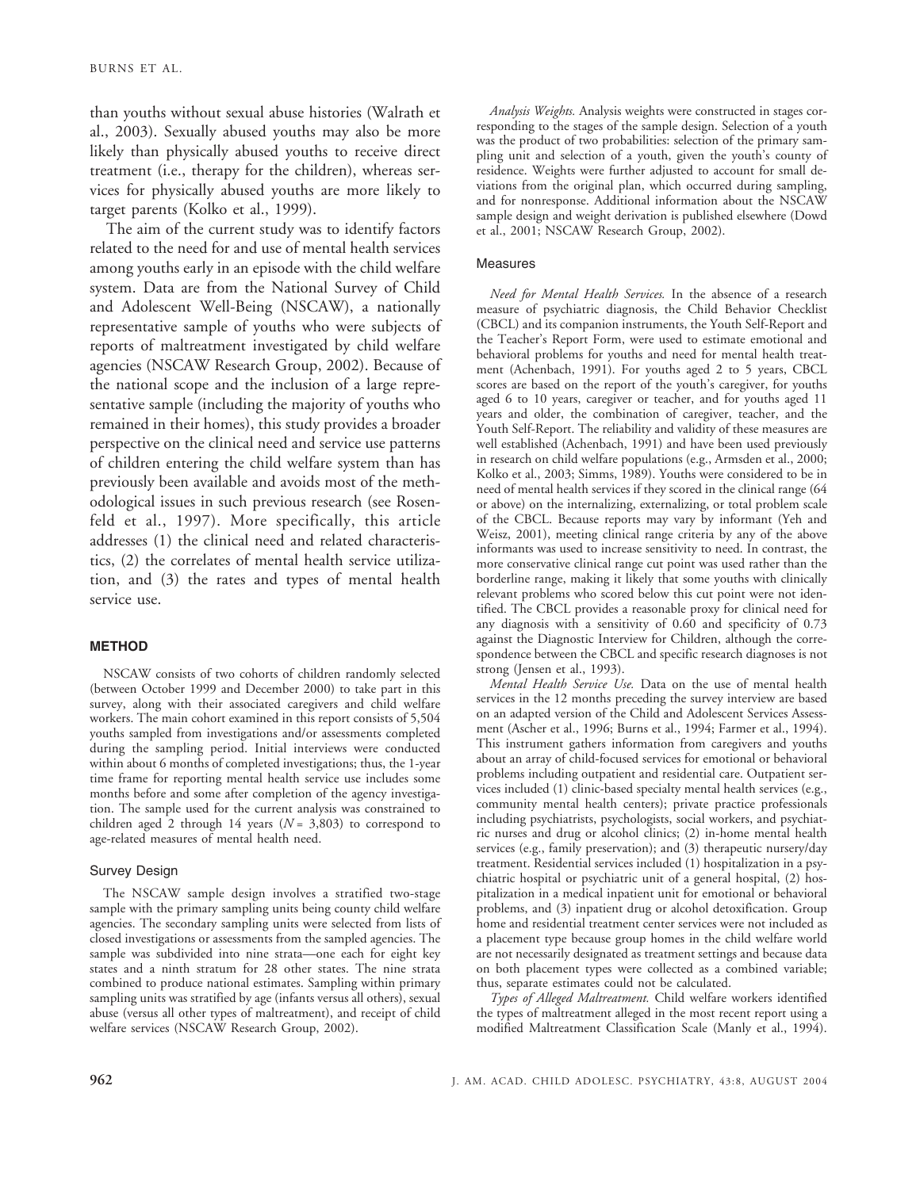than youths without sexual abuse histories (Walrath et al., 2003). Sexually abused youths may also be more likely than physically abused youths to receive direct treatment (i.e., therapy for the children), whereas services for physically abused youths are more likely to target parents (Kolko et al., 1999).

The aim of the current study was to identify factors related to the need for and use of mental health services among youths early in an episode with the child welfare system. Data are from the National Survey of Child and Adolescent Well-Being (NSCAW), a nationally representative sample of youths who were subjects of reports of maltreatment investigated by child welfare agencies (NSCAW Research Group, 2002). Because of the national scope and the inclusion of a large representative sample (including the majority of youths who remained in their homes), this study provides a broader perspective on the clinical need and service use patterns of children entering the child welfare system than has previously been available and avoids most of the methodological issues in such previous research (see Rosenfeld et al., 1997). More specifically, this article addresses (1) the clinical need and related characteristics, (2) the correlates of mental health service utilization, and (3) the rates and types of mental health service use.

## **METHOD**

NSCAW consists of two cohorts of children randomly selected (between October 1999 and December 2000) to take part in this survey, along with their associated caregivers and child welfare workers. The main cohort examined in this report consists of 5,504 youths sampled from investigations and/or assessments completed during the sampling period. Initial interviews were conducted within about 6 months of completed investigations; thus, the 1-year time frame for reporting mental health service use includes some months before and some after completion of the agency investigation. The sample used for the current analysis was constrained to children aged 2 through 14 years (*N* = 3,803) to correspond to age-related measures of mental health need.

## Survey Design

The NSCAW sample design involves a stratified two-stage sample with the primary sampling units being county child welfare agencies. The secondary sampling units were selected from lists of closed investigations or assessments from the sampled agencies. The sample was subdivided into nine strata—one each for eight key states and a ninth stratum for 28 other states. The nine strata combined to produce national estimates. Sampling within primary sampling units was stratified by age (infants versus all others), sexual abuse (versus all other types of maltreatment), and receipt of child welfare services (NSCAW Research Group, 2002).

*Analysis Weights.* Analysis weights were constructed in stages corresponding to the stages of the sample design. Selection of a youth was the product of two probabilities: selection of the primary sampling unit and selection of a youth, given the youth's county of residence. Weights were further adjusted to account for small deviations from the original plan, which occurred during sampling, and for nonresponse. Additional information about the NSCAW sample design and weight derivation is published elsewhere (Dowd et al., 2001; NSCAW Research Group, 2002).

#### Measures

*Need for Mental Health Services.* In the absence of a research measure of psychiatric diagnosis, the Child Behavior Checklist (CBCL) and its companion instruments, the Youth Self-Report and the Teacher's Report Form, were used to estimate emotional and behavioral problems for youths and need for mental health treatment (Achenbach, 1991). For youths aged 2 to 5 years, CBCL scores are based on the report of the youth's caregiver, for youths aged 6 to 10 years, caregiver or teacher, and for youths aged 11 years and older, the combination of caregiver, teacher, and the Youth Self-Report. The reliability and validity of these measures are well established (Achenbach, 1991) and have been used previously in research on child welfare populations (e.g., Armsden et al., 2000; Kolko et al., 2003; Simms, 1989). Youths were considered to be in need of mental health services if they scored in the clinical range (64 or above) on the internalizing, externalizing, or total problem scale of the CBCL. Because reports may vary by informant (Yeh and Weisz, 2001), meeting clinical range criteria by any of the above informants was used to increase sensitivity to need. In contrast, the more conservative clinical range cut point was used rather than the borderline range, making it likely that some youths with clinically relevant problems who scored below this cut point were not identified. The CBCL provides a reasonable proxy for clinical need for any diagnosis with a sensitivity of 0.60 and specificity of 0.73 against the Diagnostic Interview for Children, although the correspondence between the CBCL and specific research diagnoses is not strong (Jensen et al., 1993).

*Mental Health Service Use.* Data on the use of mental health services in the 12 months preceding the survey interview are based on an adapted version of the Child and Adolescent Services Assessment (Ascher et al., 1996; Burns et al., 1994; Farmer et al., 1994). This instrument gathers information from caregivers and youths about an array of child-focused services for emotional or behavioral problems including outpatient and residential care. Outpatient services included (1) clinic-based specialty mental health services (e.g., community mental health centers); private practice professionals including psychiatrists, psychologists, social workers, and psychiatric nurses and drug or alcohol clinics; (2) in-home mental health services (e.g., family preservation); and (3) therapeutic nursery/day treatment. Residential services included (1) hospitalization in a psychiatric hospital or psychiatric unit of a general hospital, (2) hospitalization in a medical inpatient unit for emotional or behavioral problems, and (3) inpatient drug or alcohol detoxification. Group home and residential treatment center services were not included as a placement type because group homes in the child welfare world are not necessarily designated as treatment settings and because data on both placement types were collected as a combined variable; thus, separate estimates could not be calculated.

*Types of Alleged Maltreatment.* Child welfare workers identified the types of maltreatment alleged in the most recent report using a modified Maltreatment Classification Scale (Manly et al., 1994).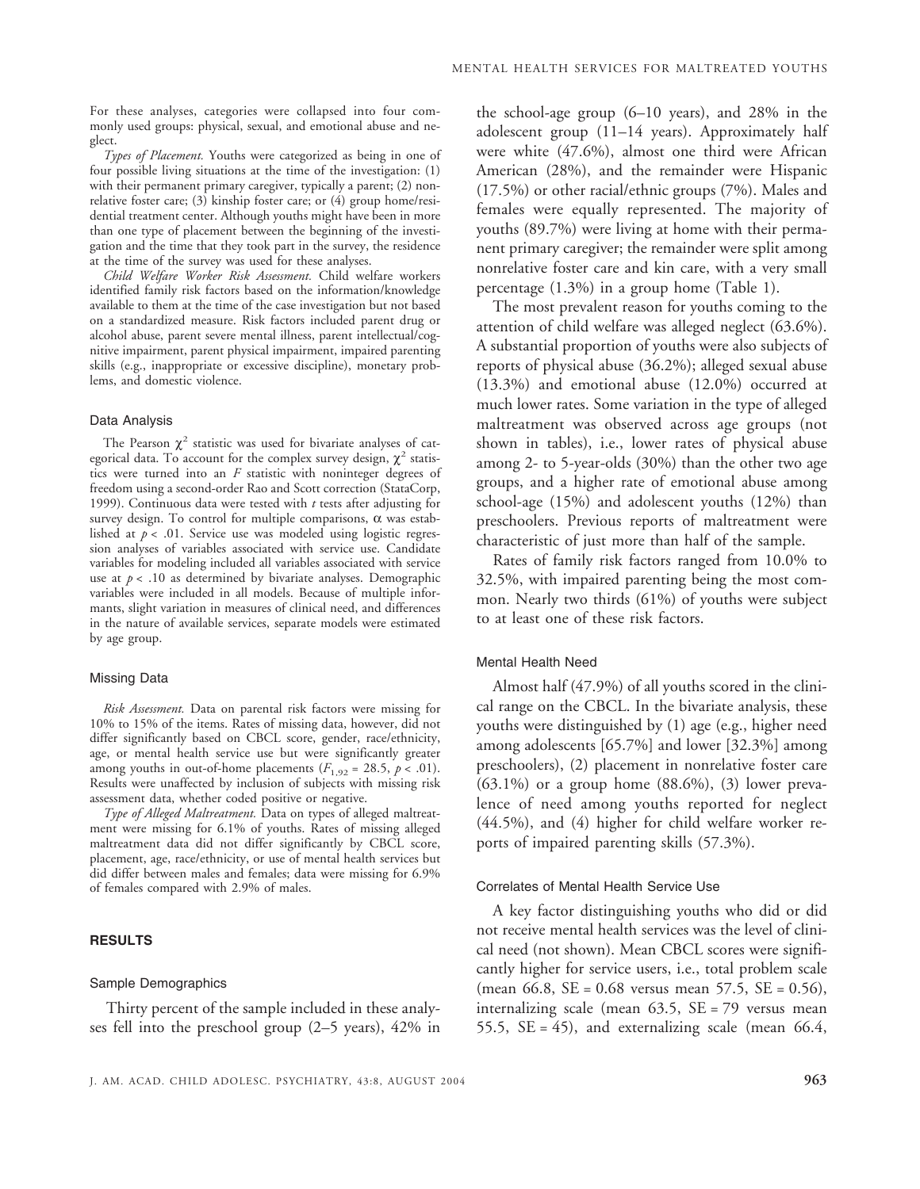For these analyses, categories were collapsed into four commonly used groups: physical, sexual, and emotional abuse and neglect.

*Types of Placement.* Youths were categorized as being in one of four possible living situations at the time of the investigation: (1) with their permanent primary caregiver, typically a parent; (2) nonrelative foster care; (3) kinship foster care; or (4) group home/residential treatment center. Although youths might have been in more than one type of placement between the beginning of the investigation and the time that they took part in the survey, the residence at the time of the survey was used for these analyses.

*Child Welfare Worker Risk Assessment.* Child welfare workers identified family risk factors based on the information/knowledge available to them at the time of the case investigation but not based on a standardized measure. Risk factors included parent drug or alcohol abuse, parent severe mental illness, parent intellectual/cognitive impairment, parent physical impairment, impaired parenting skills (e.g., inappropriate or excessive discipline), monetary problems, and domestic violence.

## Data Analysis

The Pearson  $\chi^2$  statistic was used for bivariate analyses of categorical data. To account for the complex survey design,  $\chi^2$  statistics were turned into an *F* statistic with noninteger degrees of freedom using a second-order Rao and Scott correction (StataCorp, 1999). Continuous data were tested with *t* tests after adjusting for survey design. To control for multiple comparisons, α was established at *p* < .01. Service use was modeled using logistic regression analyses of variables associated with service use. Candidate variables for modeling included all variables associated with service use at  $p < .10$  as determined by bivariate analyses. Demographic variables were included in all models. Because of multiple informants, slight variation in measures of clinical need, and differences in the nature of available services, separate models were estimated by age group.

#### Missing Data

*Risk Assessment.* Data on parental risk factors were missing for 10% to 15% of the items. Rates of missing data, however, did not differ significantly based on CBCL score, gender, race/ethnicity, age, or mental health service use but were significantly greater among youths in out-of-home placements  $(F_{1,92} = 28.5, p < .01)$ . Results were unaffected by inclusion of subjects with missing risk assessment data, whether coded positive or negative.

*Type of Alleged Maltreatment.* Data on types of alleged maltreatment were missing for 6.1% of youths. Rates of missing alleged maltreatment data did not differ significantly by CBCL score, placement, age, race/ethnicity, or use of mental health services but did differ between males and females; data were missing for 6.9% of females compared with 2.9% of males.

# **RESULTS**

#### Sample Demographics

Thirty percent of the sample included in these analyses fell into the preschool group (2–5 years), 42% in

the school-age group (6–10 years), and 28% in the adolescent group (11–14 years). Approximately half were white (47.6%), almost one third were African American (28%), and the remainder were Hispanic (17.5%) or other racial/ethnic groups (7%). Males and females were equally represented. The majority of youths (89.7%) were living at home with their permanent primary caregiver; the remainder were split among nonrelative foster care and kin care, with a very small percentage (1.3%) in a group home (Table 1).

The most prevalent reason for youths coming to the attention of child welfare was alleged neglect (63.6%). A substantial proportion of youths were also subjects of reports of physical abuse (36.2%); alleged sexual abuse (13.3%) and emotional abuse (12.0%) occurred at much lower rates. Some variation in the type of alleged maltreatment was observed across age groups (not shown in tables), i.e., lower rates of physical abuse among 2- to 5-year-olds (30%) than the other two age groups, and a higher rate of emotional abuse among school-age (15%) and adolescent youths (12%) than preschoolers. Previous reports of maltreatment were characteristic of just more than half of the sample.

Rates of family risk factors ranged from 10.0% to 32.5%, with impaired parenting being the most common. Nearly two thirds (61%) of youths were subject to at least one of these risk factors.

## Mental Health Need

Almost half (47.9%) of all youths scored in the clinical range on the CBCL. In the bivariate analysis, these youths were distinguished by (1) age (e.g., higher need among adolescents [65.7%] and lower [32.3%] among preschoolers), (2) placement in nonrelative foster care  $(63.1\%)$  or a group home  $(88.6\%)$ ,  $(3)$  lower prevalence of need among youths reported for neglect (44.5%), and (4) higher for child welfare worker reports of impaired parenting skills (57.3%).

## Correlates of Mental Health Service Use

A key factor distinguishing youths who did or did not receive mental health services was the level of clinical need (not shown). Mean CBCL scores were significantly higher for service users, i.e., total problem scale (mean 66.8, SE = 0.68 versus mean 57.5, SE = 0.56), internalizing scale (mean  $63.5$ ,  $SE = 79$  versus mean 55.5,  $SE = 45$ ), and externalizing scale (mean 66.4,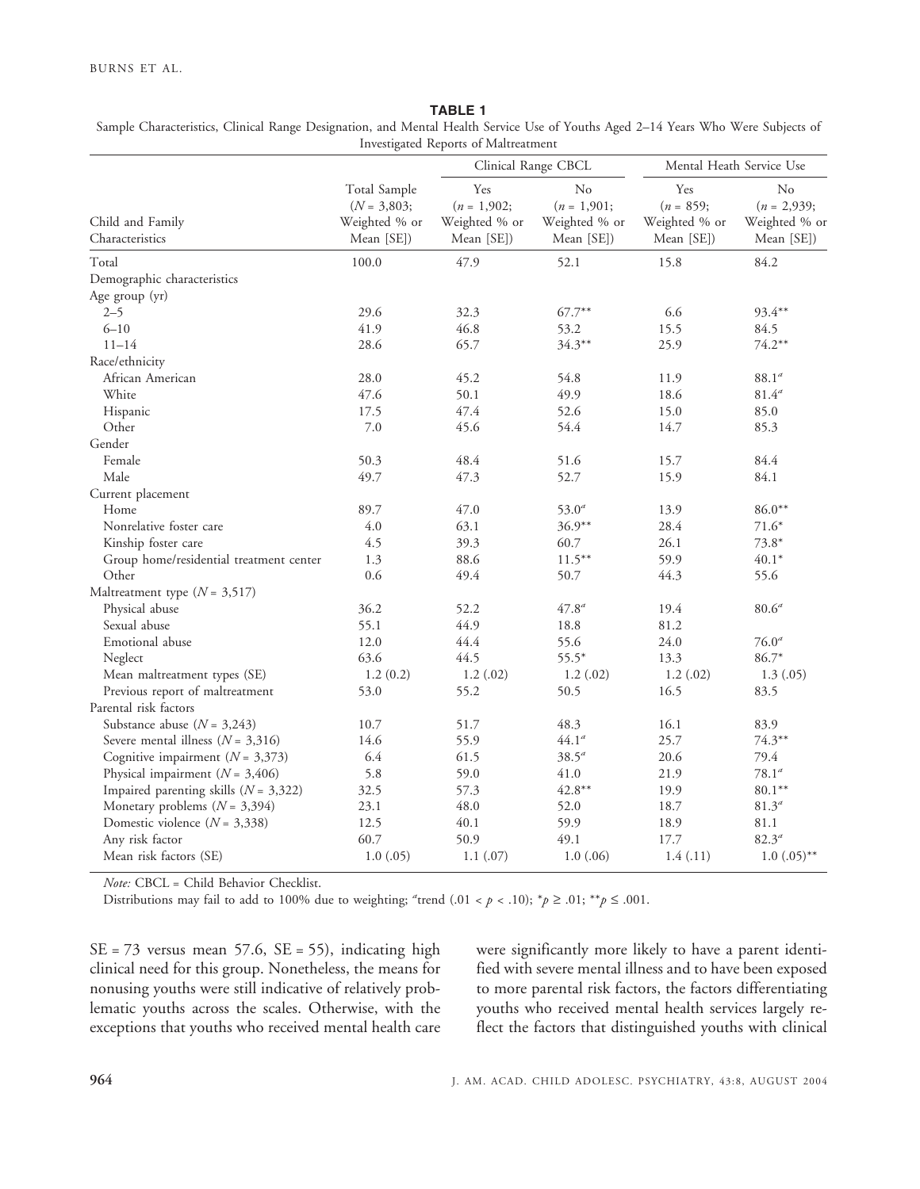# **TABLE 1**

Sample Characteristics, Clinical Range Designation, and Mental Health Service Use of Youths Aged 2–14 Years Who Were Subjects of Investigated Reports of Maltreatment

|                                           |                                                              |                                                     | Clinical Range CBCL                                | Mental Heath Service Use                          |                                                    |
|-------------------------------------------|--------------------------------------------------------------|-----------------------------------------------------|----------------------------------------------------|---------------------------------------------------|----------------------------------------------------|
| Child and Family<br>Characteristics       | Total Sample<br>$(N = 3,803;$<br>Weighted % or<br>Mean [SE]) | Yes<br>$(n = 1,902;$<br>Weighted % or<br>Mean [SE]) | No<br>$(n = 1,901;$<br>Weighted % or<br>Mean [SE]) | Yes<br>$(n = 859;$<br>Weighted % or<br>Mean [SE]) | No<br>$(n = 2,939;$<br>Weighted % or<br>Mean [SE]) |
| Total                                     | 100.0                                                        | 47.9                                                | 52.1                                               | 15.8                                              | 84.2                                               |
| Demographic characteristics               |                                                              |                                                     |                                                    |                                                   |                                                    |
| Age group (yr)                            |                                                              |                                                     |                                                    |                                                   |                                                    |
| $2 - 5$                                   | 29.6                                                         | 32.3                                                | $67.7***$                                          | 6.6                                               | 93.4**                                             |
| $6 - 10$                                  | 41.9                                                         | 46.8                                                | 53.2                                               | 15.5                                              | 84.5                                               |
| $11 - 14$                                 | 28.6                                                         | 65.7                                                | $34.3***$                                          | 25.9                                              | $74.2**$                                           |
| Race/ethnicity                            |                                                              |                                                     |                                                    |                                                   |                                                    |
| African American                          | 28.0                                                         | 45.2                                                | 54.8                                               | 11.9                                              | $88.1^{\circ}$                                     |
| White                                     | 47.6                                                         | 50.1                                                | 49.9                                               | 18.6                                              | $81.4^{\circ}$                                     |
| Hispanic                                  | 17.5                                                         | 47.4                                                | 52.6                                               | 15.0                                              | 85.0                                               |
| Other                                     | 7.0                                                          | 45.6                                                | 54.4                                               | 14.7                                              | 85.3                                               |
| Gender                                    |                                                              |                                                     |                                                    |                                                   |                                                    |
| Female                                    | 50.3                                                         | 48.4                                                | 51.6                                               | 15.7                                              | 84.4                                               |
| Male                                      | 49.7                                                         | 47.3                                                | 52.7                                               | 15.9                                              | 84.1                                               |
| Current placement                         |                                                              |                                                     |                                                    |                                                   |                                                    |
| Home                                      | 89.7                                                         | 47.0                                                | $53.0^a$                                           | 13.9                                              | 86.0**                                             |
| Nonrelative foster care                   | 4.0                                                          | 63.1                                                | $36.9**$                                           | 28.4                                              | $71.6*$                                            |
| Kinship foster care                       | 4.5                                                          | 39.3                                                | 60.7                                               | 26.1                                              | $73.8*$                                            |
| Group home/residential treatment center   | 1.3                                                          | 88.6                                                | $11.5***$                                          | 59.9                                              | $40.1*$                                            |
| Other                                     | 0.6                                                          | 49.4                                                | 50.7                                               | 44.3                                              | 55.6                                               |
| Maltreatment type $(N = 3, 517)$          |                                                              |                                                     |                                                    |                                                   |                                                    |
| Physical abuse                            | 36.2                                                         | 52.2                                                | $47.8^{a}$                                         | 19.4                                              | $80.6^a$                                           |
| Sexual abuse                              | 55.1                                                         | 44.9                                                | 18.8                                               | 81.2                                              |                                                    |
| Emotional abuse                           | 12.0                                                         | 44.4                                                | 55.6                                               | 24.0                                              | $76.0^a$                                           |
| Neglect                                   | 63.6                                                         | 44.5                                                | $55.5*$                                            | 13.3                                              | 86.7*                                              |
| Mean maltreatment types (SE)              | 1.2(0.2)                                                     | 1.2(0.02)                                           | 1.2(0.02)                                          | 1.2(0.02)                                         | 1.3(0.05)                                          |
| Previous report of maltreatment           | 53.0                                                         | 55.2                                                | 50.5                                               | 16.5                                              | 83.5                                               |
| Parental risk factors                     |                                                              |                                                     |                                                    |                                                   |                                                    |
| Substance abuse $(N = 3,243)$             | 10.7                                                         | 51.7                                                | 48.3                                               | 16.1                                              | 83.9                                               |
| Severe mental illness ( $N = 3,316$ )     | 14.6                                                         | 55.9                                                | 44.1 <sup>a</sup>                                  | 25.7                                              | $74.3***$                                          |
| Cognitive impairment $(N = 3,373)$        | 6.4                                                          | 61.5                                                | $38.5^{a}$                                         | 20.6                                              | 79.4                                               |
| Physical impairment ( $N = 3,406$ )       | 5.8                                                          | 59.0                                                | 41.0                                               | 21.9                                              | $78.1^{\circ}$                                     |
| Impaired parenting skills ( $N = 3,322$ ) | 32.5                                                         | 57.3                                                | $42.8***$                                          | 19.9                                              | $80.1***$                                          |
| Monetary problems $(N = 3,394)$           | 23.1                                                         | 48.0                                                | 52.0                                               | 18.7                                              | $81.3^a$                                           |
| Domestic violence $(N = 3,338)$           | 12.5                                                         | 40.1                                                | 59.9                                               | 18.9                                              | 81.1                                               |
| Any risk factor                           | 60.7                                                         | 50.9                                                | 49.1                                               | 17.7                                              | $82.3^{\circ}$                                     |
| Mean risk factors (SE)                    | 1.0(0.05)                                                    | 1.1(07)                                             | 1.0(0.06)                                          | 1.4(.11)                                          | $1.0$ $(.05)$ **                                   |

*Note:* CBCL = Child Behavior Checklist.

Distributions may fail to add to 100% due to weighting; "trend (.01 <  $p$  < .10);  $^*p \ge 0.01$ ;  $^{**}p \le 0.001$ .

 $SE = 73$  versus mean 57.6,  $SE = 55$ ), indicating high clinical need for this group. Nonetheless, the means for nonusing youths were still indicative of relatively problematic youths across the scales. Otherwise, with the exceptions that youths who received mental health care were significantly more likely to have a parent identified with severe mental illness and to have been exposed to more parental risk factors, the factors differentiating youths who received mental health services largely reflect the factors that distinguished youths with clinical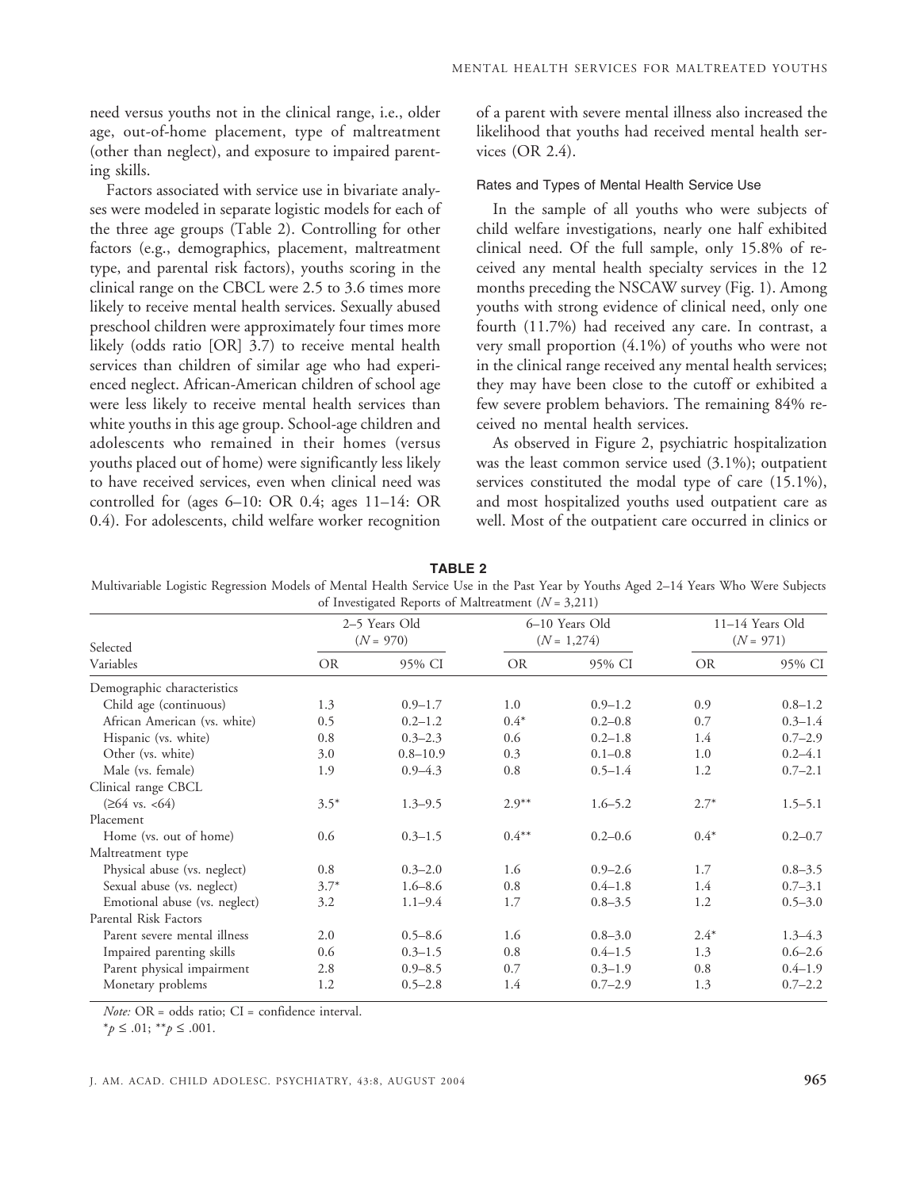need versus youths not in the clinical range, i.e., older age, out-of-home placement, type of maltreatment (other than neglect), and exposure to impaired parenting skills.

Factors associated with service use in bivariate analyses were modeled in separate logistic models for each of the three age groups (Table 2). Controlling for other factors (e.g., demographics, placement, maltreatment type, and parental risk factors), youths scoring in the clinical range on the CBCL were 2.5 to 3.6 times more likely to receive mental health services. Sexually abused preschool children were approximately four times more likely (odds ratio [OR] 3.7) to receive mental health services than children of similar age who had experienced neglect. African-American children of school age were less likely to receive mental health services than white youths in this age group. School-age children and adolescents who remained in their homes (versus youths placed out of home) were significantly less likely to have received services, even when clinical need was controlled for (ages 6–10: OR 0.4; ages 11–14: OR 0.4). For adolescents, child welfare worker recognition of a parent with severe mental illness also increased the likelihood that youths had received mental health services (OR 2.4).

#### Rates and Types of Mental Health Service Use

In the sample of all youths who were subjects of child welfare investigations, nearly one half exhibited clinical need. Of the full sample, only 15.8% of received any mental health specialty services in the 12 months preceding the NSCAW survey (Fig. 1). Among youths with strong evidence of clinical need, only one fourth (11.7%) had received any care. In contrast, a very small proportion (4.1%) of youths who were not in the clinical range received any mental health services; they may have been close to the cutoff or exhibited a few severe problem behaviors. The remaining 84% received no mental health services.

As observed in Figure 2, psychiatric hospitalization was the least common service used (3.1%); outpatient services constituted the modal type of care (15.1%), and most hospitalized youths used outpatient care as well. Most of the outpatient care occurred in clinics or

**TABLE 2**

Multivariable Logistic Regression Models of Mental Health Service Use in the Past Year by Youths Aged 2–14 Years Who Were Subjects

| of Investigated Reports of Maltreatment ( $N = 3,211$ ) |                              |              |                                 |             |                                |             |  |  |  |  |
|---------------------------------------------------------|------------------------------|--------------|---------------------------------|-------------|--------------------------------|-------------|--|--|--|--|
| Selected<br>Variables                                   | 2-5 Years Old<br>$(N = 970)$ |              | 6-10 Years Old<br>$(N = 1,274)$ |             | 11-14 Years Old<br>$(N = 971)$ |             |  |  |  |  |
|                                                         | OR.                          | 95% CI       | OR.                             | 95% CI      | OR.                            | 95% CI      |  |  |  |  |
| Demographic characteristics                             |                              |              |                                 |             |                                |             |  |  |  |  |
| Child age (continuous)                                  | 1.3                          | $0.9 - 1.7$  | 1.0                             | $0.9 - 1.2$ | 0.9                            | $0.8 - 1.2$ |  |  |  |  |
| African American (vs. white)                            | 0.5                          | $0.2 - 1.2$  | $0.4*$                          | $0.2 - 0.8$ | 0.7                            | $0.3 - 1.4$ |  |  |  |  |
| Hispanic (vs. white)                                    | 0.8                          | $0.3 - 2.3$  | 0.6                             | $0.2 - 1.8$ | 1.4                            | $0.7 - 2.9$ |  |  |  |  |
| Other (vs. white)                                       | 3.0                          | $0.8 - 10.9$ | 0.3                             | $0.1 - 0.8$ | 1.0                            | $0.2 - 4.1$ |  |  |  |  |
| Male (vs. female)                                       | 1.9                          | $0.9 - 4.3$  | 0.8                             | $0.5 - 1.4$ | 1.2                            | $0.7 - 2.1$ |  |  |  |  |
| Clinical range CBCL                                     |                              |              |                                 |             |                                |             |  |  |  |  |
| $(264 \text{ vs. } 64)$                                 | $3.5*$                       | $1.3 - 9.5$  | $2.9***$                        | $1.6 - 5.2$ | $2.7*$                         | $1.5 - 5.1$ |  |  |  |  |
| Placement                                               |                              |              |                                 |             |                                |             |  |  |  |  |
| Home (vs. out of home)                                  | 0.6                          | $0.3 - 1.5$  | $0.4***$                        | $0.2 - 0.6$ | $0.4*$                         | $0.2 - 0.7$ |  |  |  |  |
| Maltreatment type                                       |                              |              |                                 |             |                                |             |  |  |  |  |
| Physical abuse (vs. neglect)                            | 0.8                          | $0.3 - 2.0$  | 1.6                             | $0.9 - 2.6$ | 1.7                            | $0.8 - 3.5$ |  |  |  |  |
| Sexual abuse (vs. neglect)                              | $3.7*$                       | $1.6 - 8.6$  | 0.8                             | $0.4 - 1.8$ | 1.4                            | $0.7 - 3.1$ |  |  |  |  |
| Emotional abuse (vs. neglect)                           | 3.2                          | $1.1 - 9.4$  | 1.7                             | $0.8 - 3.5$ | 1.2                            | $0.5 - 3.0$ |  |  |  |  |
| Parental Risk Factors                                   |                              |              |                                 |             |                                |             |  |  |  |  |
| Parent severe mental illness                            | 2.0                          | $0.5 - 8.6$  | 1.6                             | $0.8 - 3.0$ | $2.4*$                         | $1.3 - 4.3$ |  |  |  |  |
| Impaired parenting skills                               | 0.6                          | $0.3 - 1.5$  | 0.8                             | $0.4 - 1.5$ | 1.3                            | $0.6 - 2.6$ |  |  |  |  |
| Parent physical impairment                              | 2.8                          | $0.9 - 8.5$  | 0.7                             | $0.3 - 1.9$ | 0.8                            | $0.4 - 1.9$ |  |  |  |  |
| Monetary problems                                       | 1.2                          | $0.5 - 2.8$  | 1.4                             | $0.7 - 2.9$ | 1.3                            | $0.7 - 2.2$ |  |  |  |  |

*Note:* OR = odds ratio; CI = confidence interval.

\**p* ≤ .01; \*\**p* ≤ .001.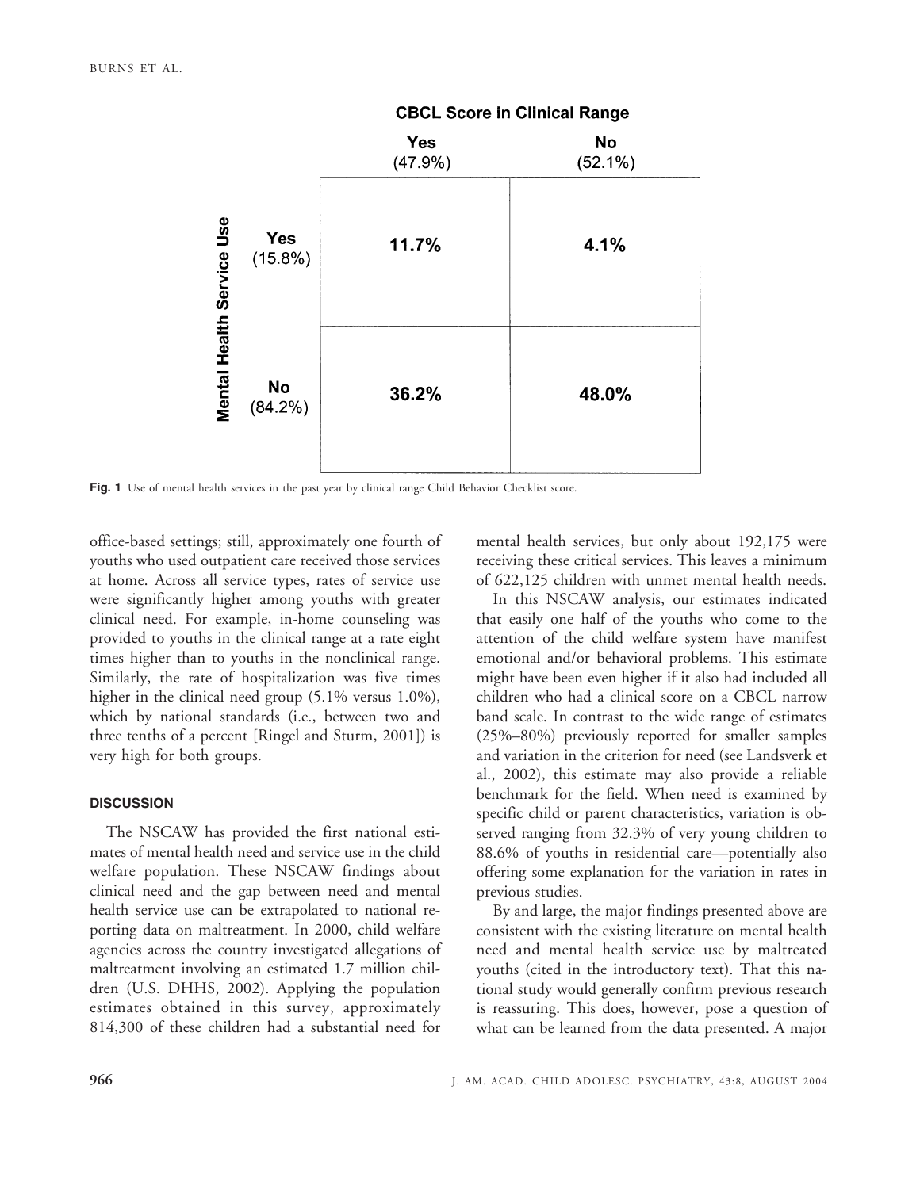

# **CBCL Score in Clinical Range**

Fig. 1 Use of mental health services in the past year by clinical range Child Behavior Checklist score.

office-based settings; still, approximately one fourth of youths who used outpatient care received those services at home. Across all service types, rates of service use were significantly higher among youths with greater clinical need. For example, in-home counseling was provided to youths in the clinical range at a rate eight times higher than to youths in the nonclinical range. Similarly, the rate of hospitalization was five times higher in the clinical need group (5.1% versus 1.0%), which by national standards (i.e., between two and three tenths of a percent [Ringel and Sturm, 2001]) is very high for both groups.

## **DISCUSSION**

The NSCAW has provided the first national estimates of mental health need and service use in the child welfare population. These NSCAW findings about clinical need and the gap between need and mental health service use can be extrapolated to national reporting data on maltreatment. In 2000, child welfare agencies across the country investigated allegations of maltreatment involving an estimated 1.7 million children (U.S. DHHS, 2002). Applying the population estimates obtained in this survey, approximately 814,300 of these children had a substantial need for

mental health services, but only about 192,175 were receiving these critical services. This leaves a minimum of 622,125 children with unmet mental health needs.

In this NSCAW analysis, our estimates indicated that easily one half of the youths who come to the attention of the child welfare system have manifest emotional and/or behavioral problems. This estimate might have been even higher if it also had included all children who had a clinical score on a CBCL narrow band scale. In contrast to the wide range of estimates (25%–80%) previously reported for smaller samples and variation in the criterion for need (see Landsverk et al., 2002), this estimate may also provide a reliable benchmark for the field. When need is examined by specific child or parent characteristics, variation is observed ranging from 32.3% of very young children to 88.6% of youths in residential care—potentially also offering some explanation for the variation in rates in previous studies.

By and large, the major findings presented above are consistent with the existing literature on mental health need and mental health service use by maltreated youths (cited in the introductory text). That this national study would generally confirm previous research is reassuring. This does, however, pose a question of what can be learned from the data presented. A major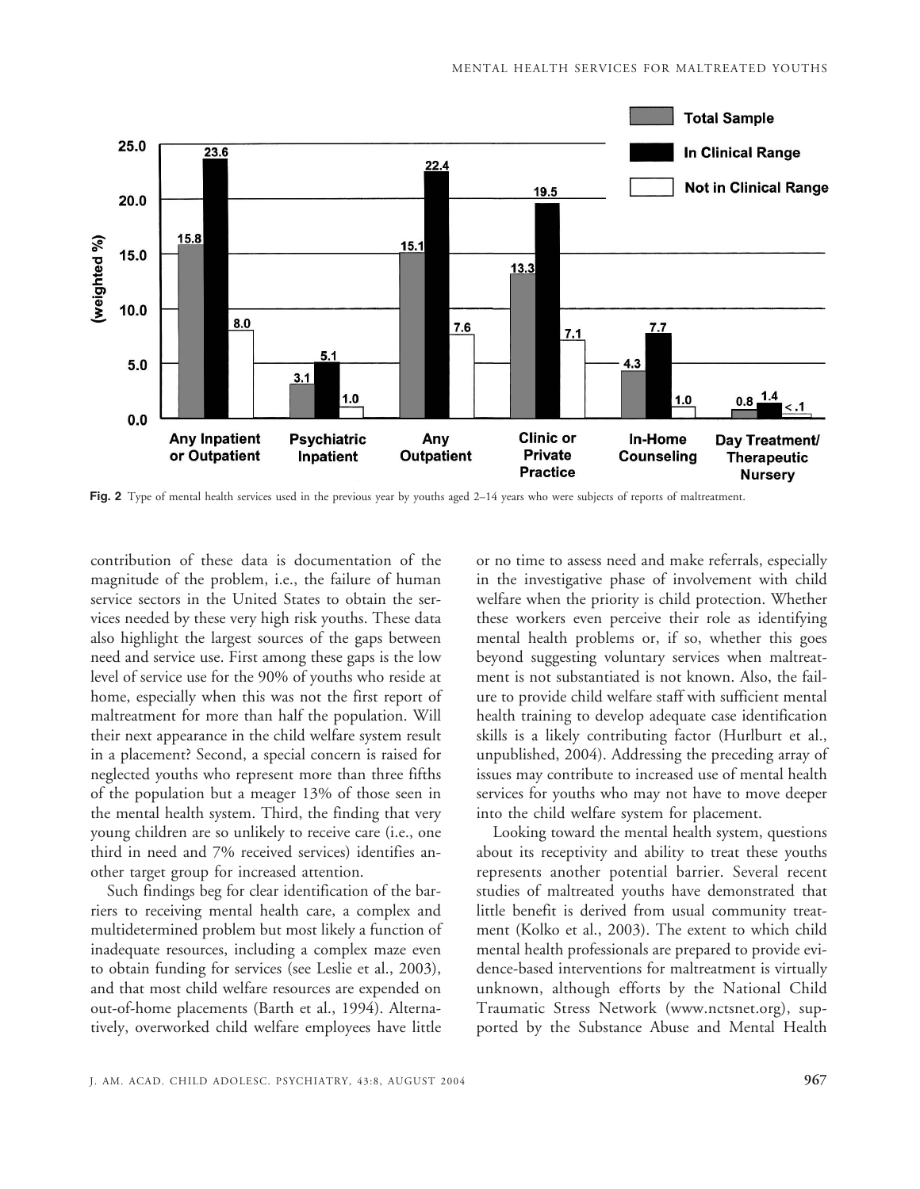

**Fig. 2** Type of mental health services used in the previous year by youths aged 2–14 years who were subjects of reports of maltreatment.

contribution of these data is documentation of the magnitude of the problem, i.e., the failure of human service sectors in the United States to obtain the services needed by these very high risk youths. These data also highlight the largest sources of the gaps between need and service use. First among these gaps is the low level of service use for the 90% of youths who reside at home, especially when this was not the first report of maltreatment for more than half the population. Will their next appearance in the child welfare system result in a placement? Second, a special concern is raised for neglected youths who represent more than three fifths of the population but a meager 13% of those seen in the mental health system. Third, the finding that very young children are so unlikely to receive care (i.e., one third in need and 7% received services) identifies another target group for increased attention.

Such findings beg for clear identification of the barriers to receiving mental health care, a complex and multidetermined problem but most likely a function of inadequate resources, including a complex maze even to obtain funding for services (see Leslie et al., 2003), and that most child welfare resources are expended on out-of-home placements (Barth et al., 1994). Alternatively, overworked child welfare employees have little

or no time to assess need and make referrals, especially in the investigative phase of involvement with child welfare when the priority is child protection. Whether these workers even perceive their role as identifying mental health problems or, if so, whether this goes beyond suggesting voluntary services when maltreatment is not substantiated is not known. Also, the failure to provide child welfare staff with sufficient mental health training to develop adequate case identification skills is a likely contributing factor (Hurlburt et al., unpublished, 2004). Addressing the preceding array of issues may contribute to increased use of mental health services for youths who may not have to move deeper into the child welfare system for placement.

Looking toward the mental health system, questions about its receptivity and ability to treat these youths represents another potential barrier. Several recent studies of maltreated youths have demonstrated that little benefit is derived from usual community treatment (Kolko et al., 2003). The extent to which child mental health professionals are prepared to provide evidence-based interventions for maltreatment is virtually unknown, although efforts by the National Child Traumatic Stress Network (www.nctsnet.org), supported by the Substance Abuse and Mental Health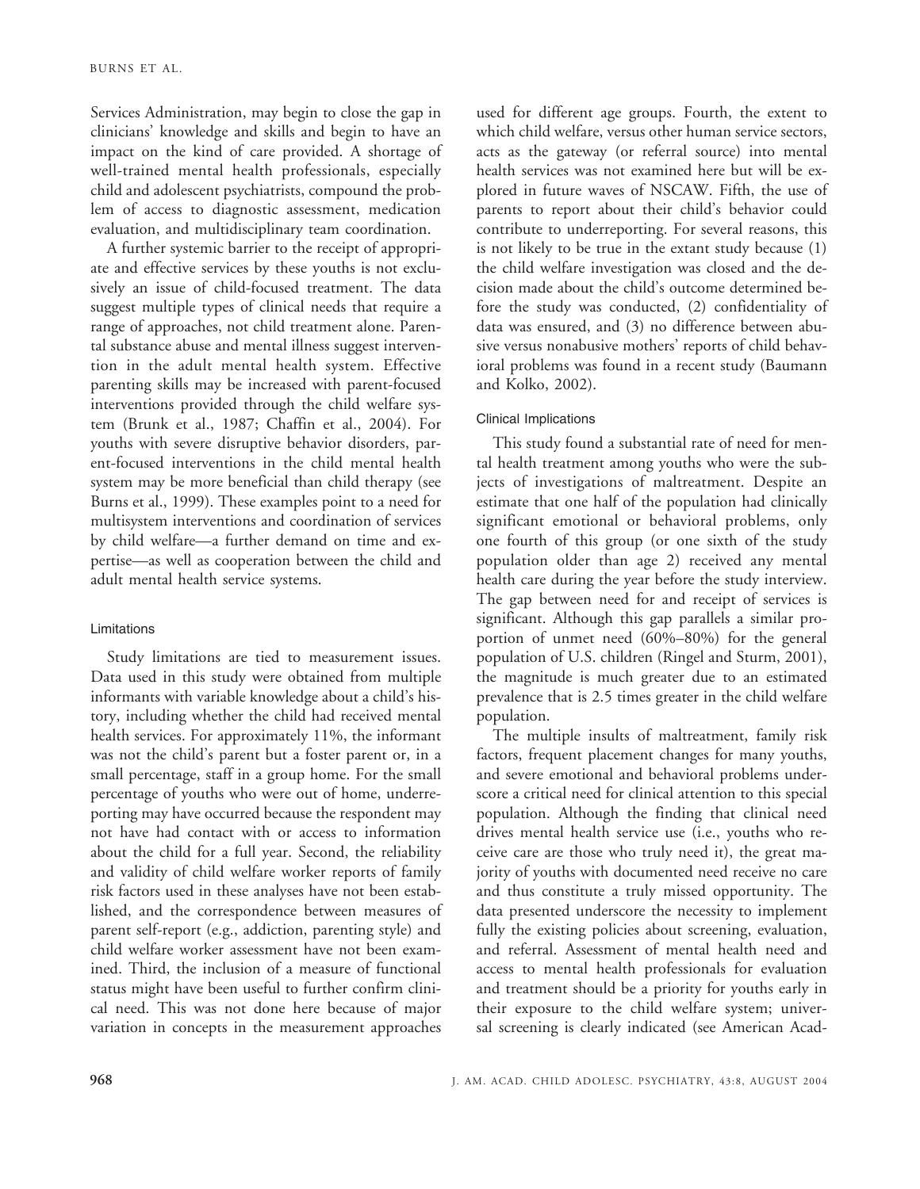Services Administration, may begin to close the gap in clinicians' knowledge and skills and begin to have an impact on the kind of care provided. A shortage of well-trained mental health professionals, especially child and adolescent psychiatrists, compound the problem of access to diagnostic assessment, medication evaluation, and multidisciplinary team coordination.

A further systemic barrier to the receipt of appropriate and effective services by these youths is not exclusively an issue of child-focused treatment. The data suggest multiple types of clinical needs that require a range of approaches, not child treatment alone. Parental substance abuse and mental illness suggest intervention in the adult mental health system. Effective parenting skills may be increased with parent-focused interventions provided through the child welfare system (Brunk et al., 1987; Chaffin et al., 2004). For youths with severe disruptive behavior disorders, parent-focused interventions in the child mental health system may be more beneficial than child therapy (see Burns et al., 1999). These examples point to a need for multisystem interventions and coordination of services by child welfare—a further demand on time and expertise—as well as cooperation between the child and adult mental health service systems.

## Limitations

Study limitations are tied to measurement issues. Data used in this study were obtained from multiple informants with variable knowledge about a child's history, including whether the child had received mental health services. For approximately 11%, the informant was not the child's parent but a foster parent or, in a small percentage, staff in a group home. For the small percentage of youths who were out of home, underreporting may have occurred because the respondent may not have had contact with or access to information about the child for a full year. Second, the reliability and validity of child welfare worker reports of family risk factors used in these analyses have not been established, and the correspondence between measures of parent self-report (e.g., addiction, parenting style) and child welfare worker assessment have not been examined. Third, the inclusion of a measure of functional status might have been useful to further confirm clinical need. This was not done here because of major variation in concepts in the measurement approaches

used for different age groups. Fourth, the extent to which child welfare, versus other human service sectors, acts as the gateway (or referral source) into mental health services was not examined here but will be explored in future waves of NSCAW. Fifth, the use of parents to report about their child's behavior could contribute to underreporting. For several reasons, this is not likely to be true in the extant study because (1) the child welfare investigation was closed and the decision made about the child's outcome determined before the study was conducted, (2) confidentiality of data was ensured, and (3) no difference between abusive versus nonabusive mothers' reports of child behavioral problems was found in a recent study (Baumann and Kolko, 2002).

# Clinical Implications

This study found a substantial rate of need for mental health treatment among youths who were the subjects of investigations of maltreatment. Despite an estimate that one half of the population had clinically significant emotional or behavioral problems, only one fourth of this group (or one sixth of the study population older than age 2) received any mental health care during the year before the study interview. The gap between need for and receipt of services is significant. Although this gap parallels a similar proportion of unmet need (60%–80%) for the general population of U.S. children (Ringel and Sturm, 2001), the magnitude is much greater due to an estimated prevalence that is 2.5 times greater in the child welfare population.

The multiple insults of maltreatment, family risk factors, frequent placement changes for many youths, and severe emotional and behavioral problems underscore a critical need for clinical attention to this special population. Although the finding that clinical need drives mental health service use (i.e., youths who receive care are those who truly need it), the great majority of youths with documented need receive no care and thus constitute a truly missed opportunity. The data presented underscore the necessity to implement fully the existing policies about screening, evaluation, and referral. Assessment of mental health need and access to mental health professionals for evaluation and treatment should be a priority for youths early in their exposure to the child welfare system; universal screening is clearly indicated (see American Acad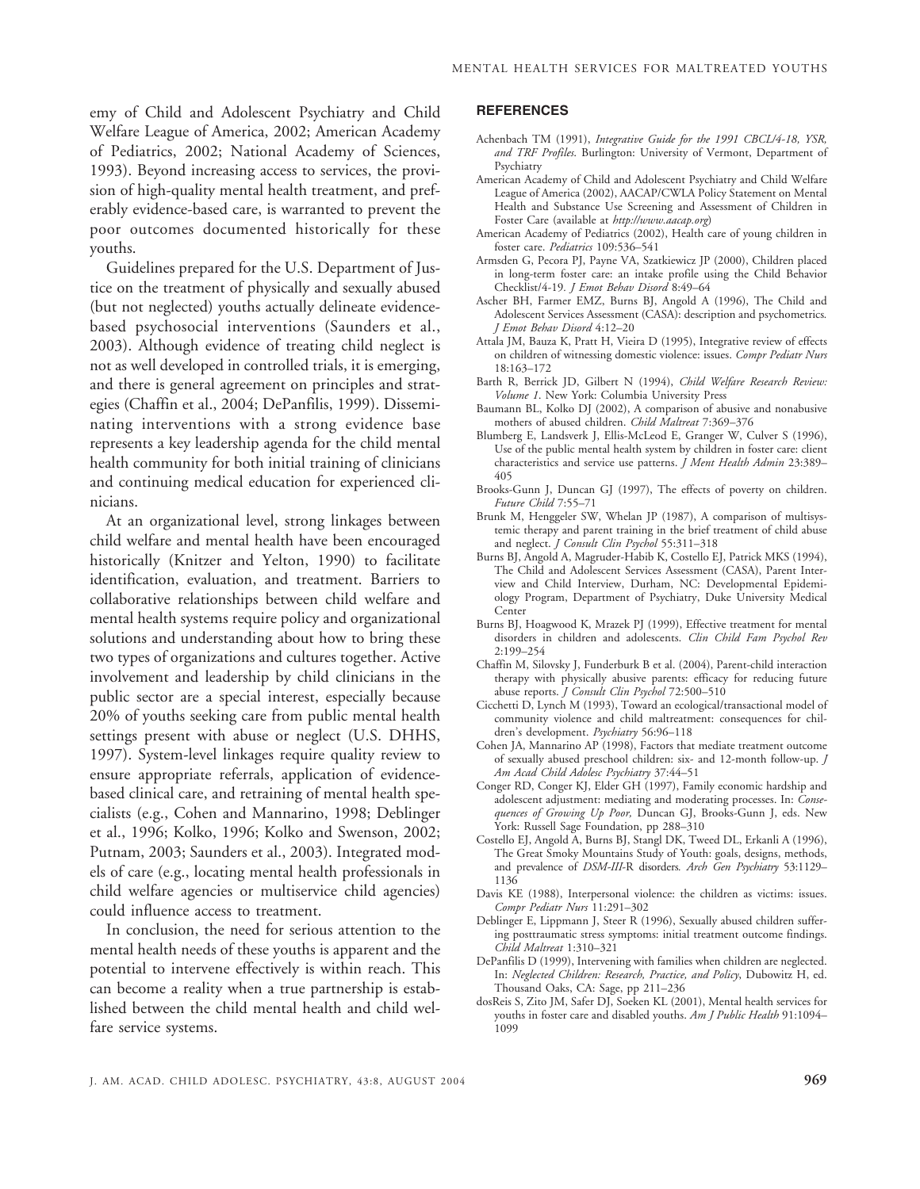emy of Child and Adolescent Psychiatry and Child Welfare League of America, 2002; American Academy of Pediatrics, 2002; National Academy of Sciences, 1993). Beyond increasing access to services, the provision of high-quality mental health treatment, and preferably evidence-based care, is warranted to prevent the poor outcomes documented historically for these youths.

Guidelines prepared for the U.S. Department of Justice on the treatment of physically and sexually abused (but not neglected) youths actually delineate evidencebased psychosocial interventions (Saunders et al., 2003). Although evidence of treating child neglect is not as well developed in controlled trials, it is emerging, and there is general agreement on principles and strategies (Chaffin et al., 2004; DePanfilis, 1999). Disseminating interventions with a strong evidence base represents a key leadership agenda for the child mental health community for both initial training of clinicians and continuing medical education for experienced clinicians.

At an organizational level, strong linkages between child welfare and mental health have been encouraged historically (Knitzer and Yelton, 1990) to facilitate identification, evaluation, and treatment. Barriers to collaborative relationships between child welfare and mental health systems require policy and organizational solutions and understanding about how to bring these two types of organizations and cultures together. Active involvement and leadership by child clinicians in the public sector are a special interest, especially because 20% of youths seeking care from public mental health settings present with abuse or neglect (U.S. DHHS, 1997). System-level linkages require quality review to ensure appropriate referrals, application of evidencebased clinical care, and retraining of mental health specialists (e.g., Cohen and Mannarino, 1998; Deblinger et al., 1996; Kolko, 1996; Kolko and Swenson, 2002; Putnam, 2003; Saunders et al., 2003). Integrated models of care (e.g., locating mental health professionals in child welfare agencies or multiservice child agencies) could influence access to treatment.

In conclusion, the need for serious attention to the mental health needs of these youths is apparent and the potential to intervene effectively is within reach. This can become a reality when a true partnership is established between the child mental health and child welfare service systems.

#### **REFERENCES**

- Achenbach TM (1991), *Integrative Guide for the 1991 CBCL/4-18, YSR, and TRF Profiles*. Burlington: University of Vermont, Department of Psychiatry
- American Academy of Child and Adolescent Psychiatry and Child Welfare League of America (2002), AACAP/CWLA Policy Statement on Mental Health and Substance Use Screening and Assessment of Children in Foster Care (available at *http://www.aacap.org*)
- American Academy of Pediatrics (2002), Health care of young children in foster care. *Pediatrics* 109:536–541
- Armsden G, Pecora PJ, Payne VA, Szatkiewicz JP (2000), Children placed in long-term foster care: an intake profile using the Child Behavior Checklist/4-19*. J Emot Behav Disord* 8:49–64
- Ascher BH, Farmer EMZ, Burns BJ, Angold A (1996), The Child and Adolescent Services Assessment (CASA): description and psychometrics*. J Emot Behav Disord* 4:12–20
- Attala JM, Bauza K, Pratt H, Vieira D (1995), Integrative review of effects on children of witnessing domestic violence: issues. *Compr Pediatr Nurs* 18:163–172
- Barth R, Berrick JD, Gilbert N (1994), *Child Welfare Research Review: Volume 1*. New York: Columbia University Press
- Baumann BL, Kolko DJ (2002), A comparison of abusive and nonabusive mothers of abused children. *Child Maltreat* 7:369–376
- Blumberg E, Landsverk J, Ellis-McLeod E, Granger W, Culver S (1996), Use of the public mental health system by children in foster care: client characteristics and service use patterns. *J Ment Health Admin* 23:389– 405
- Brooks-Gunn J, Duncan GJ (1997), The effects of poverty on children. *Future Child* 7:55–71
- Brunk M, Henggeler SW, Whelan JP (1987), A comparison of multisystemic therapy and parent training in the brief treatment of child abuse and neglect. *J Consult Clin Psychol* 55:311–318
- Burns BJ, Angold A, Magruder-Habib K, Costello EJ, Patrick MKS (1994), The Child and Adolescent Services Assessment (CASA), Parent Interview and Child Interview, Durham, NC: Developmental Epidemiology Program, Department of Psychiatry, Duke University Medical Center
- Burns BJ, Hoagwood K, Mrazek PJ (1999), Effective treatment for mental disorders in children and adolescents. *Clin Child Fam Psychol Rev* 2:199–254
- Chaffin M, Silovsky J, Funderburk B et al. (2004), Parent-child interaction therapy with physically abusive parents: efficacy for reducing future abuse reports. *J Consult Clin Psychol* 72:500–510
- Cicchetti D, Lynch M (1993), Toward an ecological/transactional model of community violence and child maltreatment: consequences for children's development. *Psychiatry* 56:96–118
- Cohen JA, Mannarino AP (1998), Factors that mediate treatment outcome of sexually abused preschool children: six- and 12-month follow-up. *J Am Acad Child Adolesc Psychiatry* 37:44–51
- Conger RD, Conger KJ, Elder GH (1997), Family economic hardship and adolescent adjustment: mediating and moderating processes. In: *Consequences of Growing Up Poor,* Duncan GJ, Brooks-Gunn J, eds. New York: Russell Sage Foundation, pp 288–310
- Costello EJ, Angold A, Burns BJ, Stangl DK, Tweed DL, Erkanli A (1996), The Great Smoky Mountains Study of Youth: goals, designs, methods, and prevalence of *DSM-III*-R disorders*. Arch Gen Psychiatry* 53:1129– 1136
- Davis KE (1988), Interpersonal violence: the children as victims: issues. *Compr Pediatr Nurs* 11:291–302
- Deblinger E, Lippmann J, Steer R (1996), Sexually abused children suffering posttraumatic stress symptoms: initial treatment outcome findings. *Child Maltreat* 1:310–321
- DePanfilis D (1999), Intervening with families when children are neglected. In: *Neglected Children: Research, Practice, and Policy*, Dubowitz H, ed. Thousand Oaks, CA: Sage, pp 211–236
- dosReis S, Zito JM, Safer DJ, Soeken KL (2001), Mental health services for youths in foster care and disabled youths. *Am J Public Health* 91:1094– 1099